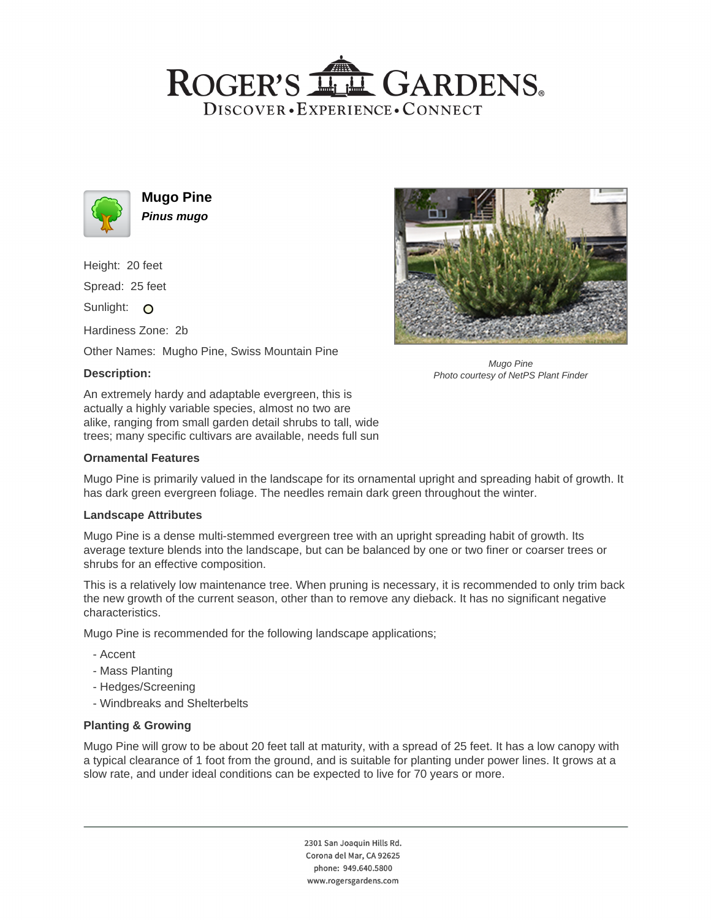# ROGER'S LL GARDENS. DISCOVER · EXPERIENCE · CONNECT



**Mugo Pine Pinus mugo**

Height: 20 feet

Spread: 25 feet

Sunlight: O

Hardiness Zone: 2b

Other Names: Mugho Pine, Swiss Mountain Pine

# **Description:**

An extremely hardy and adaptable evergreen, this is actually a highly variable species, almost no two are alike, ranging from small garden detail shrubs to tall, wide trees; many specific cultivars are available, needs full sun

#### **Ornamental Features**

Mugo Pine is primarily valued in the landscape for its ornamental upright and spreading habit of growth. It has dark green evergreen foliage. The needles remain dark green throughout the winter.

## **Landscape Attributes**

Mugo Pine is a dense multi-stemmed evergreen tree with an upright spreading habit of growth. Its average texture blends into the landscape, but can be balanced by one or two finer or coarser trees or shrubs for an effective composition.

This is a relatively low maintenance tree. When pruning is necessary, it is recommended to only trim back the new growth of the current season, other than to remove any dieback. It has no significant negative characteristics.

Mugo Pine is recommended for the following landscape applications;

- Accent
- Mass Planting
- Hedges/Screening
- Windbreaks and Shelterbelts

## **Planting & Growing**

Mugo Pine will grow to be about 20 feet tall at maturity, with a spread of 25 feet. It has a low canopy with a typical clearance of 1 foot from the ground, and is suitable for planting under power lines. It grows at a slow rate, and under ideal conditions can be expected to live for 70 years or more.

> 2301 San Joaquin Hills Rd. Corona del Mar, CA 92625 phone: 949.640.5800 www.rogersgardens.com



Mugo Pine Photo courtesy of NetPS Plant Finder